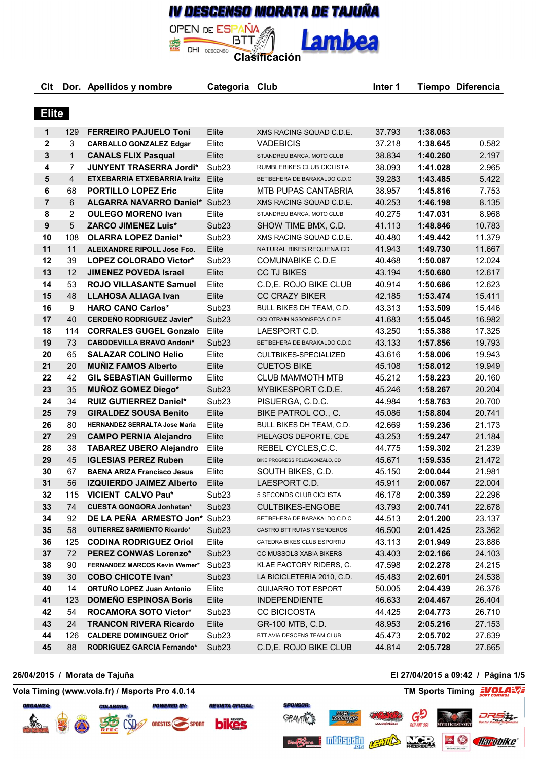# IV DESCENSO MORATA DE TAJUÑA

**Lambea** 

**Clt Dor. Apellidos y nombre Categoria Club Inter 1 Tiempo Diferencia**

DESCENSO **Clasificación** 

**BTT** 

**OPEN DE ESPAÑA** 

DHI

| <b>Elite</b>            |                |                                      |                   |                                |        |          |        |
|-------------------------|----------------|--------------------------------------|-------------------|--------------------------------|--------|----------|--------|
| 1                       | 129            | <b>FERREIRO PAJUELO Toni</b>         | Elite             | XMS RACING SQUAD C.D.E.        | 37.793 | 1:38.063 |        |
| $\mathbf{2}$            | 3              | <b>CARBALLO GONZALEZ Edgar</b>       | Elite             | <b>VADEBICIS</b>               | 37.218 | 1:38.645 | 0.582  |
| $\mathbf{3}$            | $\mathbf{1}$   | <b>CANALS FLIX Pasqual</b>           | Elite             | ST.ANDREU BARCA, MOTO CLUB     | 38.834 | 1:40.260 | 2.197  |
| $\overline{\mathbf{4}}$ | $\overline{7}$ | <b>JUNYENT TRASERRA Jordi*</b>       | Sub <sub>23</sub> | RUMBLEBIKES CLUB CICLISTA      | 38.093 | 1:41.028 | 2.965  |
| $5\phantom{.0}$         | $\overline{4}$ | ETXEBARRIA ETXEBARRIA Iraitz         | Elite             | BETIBEHERA DE BARAKALDO C.D.C  | 39.283 | 1:43.485 | 5.422  |
| 6                       | 68             | <b>PORTILLO LOPEZ Eric</b>           | Elite             | MTB PUPAS CANTABRIA            | 38.957 | 1:45.816 | 7.753  |
| $\overline{7}$          | 6              | ALGARRA NAVARRO Daniel* Sub23        |                   | XMS RACING SQUAD C.D.E.        | 40.253 | 1:46.198 | 8.135  |
| 8                       | $\overline{2}$ | <b>OULEGO MORENO Ivan</b>            | Elite             | ST.ANDREU BARCA, MOTO CLUB     | 40.275 | 1:47.031 | 8.968  |
| $9\,$                   | 5              | <b>ZARCO JIMENEZ Luis*</b>           | Sub <sub>23</sub> | SHOW TIME BMX, C.D.            | 41.113 | 1:48.846 | 10.783 |
| 10                      | 108            | <b>OLARRA LOPEZ Daniel*</b>          | Sub <sub>23</sub> | XMS RACING SQUAD C.D.E.        | 40.480 | 1:49.442 | 11.379 |
| 11                      | 11             | <b>ALEIXANDRE RIPOLL Jose Fco.</b>   | Elite             | NATURAL BIKES REQUENA CD       | 41.943 | 1:49.730 | 11.667 |
| 12                      | 39             | LOPEZ COLORADO Victor*               | Sub <sub>23</sub> | <b>COMUNABIKE C.D.E</b>        | 40.468 | 1:50.087 | 12.024 |
| 13                      | 12             | <b>JIMENEZ POVEDA Israel</b>         | Elite             | <b>CC TJ BIKES</b>             | 43.194 | 1:50.680 | 12.617 |
| 14                      | 53             | ROJO VILLASANTE Samuel               | Elite             | C.D,E. ROJO BIKE CLUB          | 40.914 | 1:50.686 | 12.623 |
| 15                      | 48             | <b>LLAHOSA ALIAGA Ivan</b>           | Elite             | <b>CC CRAZY BIKER</b>          | 42.185 | 1:53.474 | 15.411 |
| 16                      | 9              | <b>HARO CANO Carlos*</b>             | Sub <sub>23</sub> | BULL BIKES DH TEAM, C.D.       | 43.313 | 1:53.509 | 15.446 |
| 17                      | 40             | <b>CERDEÑO RODRIGUEZ Javier*</b>     | Sub <sub>23</sub> | CICLOTRAININGSONSECA C.D.E.    | 41.683 | 1:55.045 | 16.982 |
| 18                      | 114            | <b>CORRALES GUGEL Gonzalo</b>        | Elite             | LAESPORT C.D.                  | 43.250 | 1:55.388 | 17.325 |
| 19                      | 73             | <b>CABODEVILLA BRAVO Andoni*</b>     | Sub <sub>23</sub> | BETIBEHERA DE BARAKALDO C.D.C  | 43.133 | 1:57.856 | 19.793 |
| 20                      | 65             | <b>SALAZAR COLINO Helio</b>          | Elite             | CULTBIKES-SPECIALIZED          | 43.616 | 1:58.006 | 19.943 |
| 21                      | 20             | <b>MUNIZ FAMOS Alberto</b>           | Elite             | <b>CUETOS BIKE</b>             | 45.108 | 1:58.012 | 19.949 |
| 22                      | 42             | <b>GIL SEBASTIAN Guillermo</b>       | Elite             | <b>CLUB MAMMOTH MTB</b>        | 45.212 | 1:58.223 | 20.160 |
| 23                      | 35             | <b>MUÑOZ GOMEZ Diego*</b>            | Sub <sub>23</sub> | MYBIKESPORT C.D.E.             | 45.246 | 1:58.267 | 20.204 |
| 24                      | 34             | <b>RUIZ GUTIERREZ Daniel*</b>        | Sub <sub>23</sub> | PISUERGA, C.D.C.               | 44.984 | 1:58.763 | 20.700 |
| 25                      | 79             | <b>GIRALDEZ SOUSA Benito</b>         | Elite             | BIKE PATROL CO., C.            | 45.086 | 1:58.804 | 20.741 |
| 26                      | 80             | <b>HERNANDEZ SERRALTA Jose Maria</b> | Elite             | BULL BIKES DH TEAM, C.D.       | 42.669 | 1:59.236 | 21.173 |
| 27                      | 29             | <b>CAMPO PERNIA Alejandro</b>        | Elite             | PIELAGOS DEPORTE, CDE          | 43.253 | 1:59.247 | 21.184 |
| 28                      | 38             | <b>TABAREZ UBERO Alejandro</b>       | Elite             | REBEL CYCLES, C.C.             | 44.775 | 1:59.302 | 21.239 |
| 29                      | 45             | <b>IGLESIAS PEREZ Ruben</b>          | Elite             | BIKE PROGRESS PELEAGONZALO, CD | 45.671 | 1:59.535 | 21.472 |
| 30                      | 67             | <b>BAENA ARIZA Francisco Jesus</b>   | Elite             | SOUTH BIKES, C.D.              | 45.150 | 2:00.044 | 21.981 |
| 31                      | 56             | <b>IZQUIERDO JAIMEZ Alberto</b>      | Elite             | LAESPORT C.D.                  | 45.911 | 2:00.067 | 22.004 |
| 32                      | 115            | <b>VICIENT CALVO Pau*</b>            | Sub <sub>23</sub> | 5 SECONDS CLUB CICLISTA        | 46.178 | 2:00.359 | 22.296 |
| 33                      | 74             | <b>CUESTA GONGORA Jonhatan*</b>      | Sub <sub>23</sub> | <b>CULTBIKES-ENGOBE</b>        | 43.793 | 2:00.741 | 22.678 |
| 34                      | 92             | DE LA PEÑA ARMESTO Jon*              | Sub <sub>23</sub> | BETIBEHERA DE BARAKALDO C.D.C  | 44.513 | 2:01.200 | 23.137 |
| 35                      | 58             | <b>GUTIERREZ SARMIENTO Ricardo*</b>  | Sub <sub>23</sub> | CASTRO BTT RUTAS Y SENDEROS    | 46.500 | 2:01.425 | 23.362 |
| 36                      | 125            | <b>CODINA RODRIGUEZ Oriol</b>        | Elite             | CATEDRA BIKES CLUB ESPORTIU    | 43.113 | 2:01.949 | 23.886 |
| 37                      | 72             | PEREZ CONWAS Lorenzo*                | Sub <sub>23</sub> | CC MUSSOLS XABIA BIKERS        | 43.403 | 2:02.166 | 24.103 |
| 38                      | 90             | FERNANDEZ MARCOS Kevin Werner*       | Sub <sub>23</sub> | KLAE FACTORY RIDERS, C.        | 47.598 | 2:02.278 | 24.215 |
| 39                      | 30             | <b>COBO CHICOTE Ivan*</b>            | Sub <sub>23</sub> | LA BICICLETERIA 2010, C.D.     | 45.483 | 2:02.601 | 24.538 |
| 40                      | 14             | ORTUÑO LOPEZ Juan Antonio            | Elite             | <b>GUIJARRO TOT ESPORT</b>     | 50.005 | 2:04.439 | 26.376 |
| 41                      | 123            | <b>DOMEÑO ESPINOSA Boris</b>         | Elite             | <b>INDEPENDIENTE</b>           | 46.633 | 2:04.467 | 26.404 |
| 42                      | 54             | <b>ROCAMORA SOTO Victor*</b>         | Sub <sub>23</sub> | <b>CC BICICOSTA</b>            | 44.425 | 2:04.773 | 26.710 |
| 43                      | 24             | <b>TRANCON RIVERA Ricardo</b>        | Elite             | GR-100 MTB, C.D.               | 48.953 | 2:05.216 | 27.153 |
| 44                      | 126            | <b>CALDERE DOMINGUEZ Oriol*</b>      | Sub <sub>23</sub> | BTT AVIA DESCENS TEAM CLUB     | 45.473 | 2:05.702 | 27.639 |

88 **RODRIGUEZ GARCIA Fernando\*** Sub23 C.D,E. ROJO BIKE CLUB 44.814 **2:05.728** 27.665





**REVISTA OFICIAL:** ORESTES SPORT **bikes** 

#### **26/04/2015 / Morata de Tajuña El 27/04/2015 a 09:42 / Página 1/5**

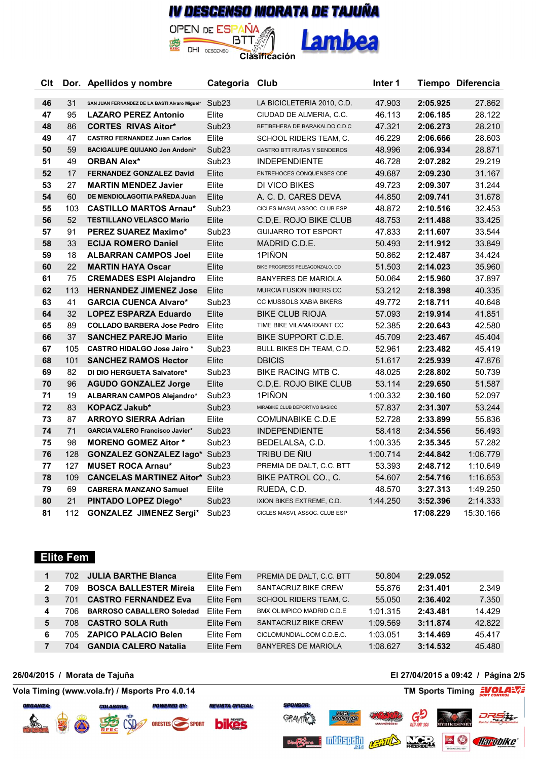## IV DESCENSO MORATA DE TAJUÑA OPEN DE ESPAÑA

Lambea

DHI DESCENSO **Clasificación** 

[BTT.豹

| <b>Clt</b> |     | Dor. Apellidos y nombre                       | Categoria Club    |                                 | Inter 1  |           | Tiempo Diferencia |
|------------|-----|-----------------------------------------------|-------------------|---------------------------------|----------|-----------|-------------------|
| 46         | 31  | SAN JUAN FERNANDEZ DE LA BASTI Alvaro Miguel* | Sub23             | LA BICICLETERIA 2010, C.D.      | 47.903   | 2:05.925  | 27.862            |
| 47         | 95  | <b>LAZARO PEREZ Antonio</b>                   | Elite             | CIUDAD DE ALMERIA, C.C.         | 46.113   | 2:06.185  | 28.122            |
| 48         | 86  | <b>CORTES RIVAS Aitor*</b>                    | Sub <sub>23</sub> | BETIBEHERA DE BARAKALDO C.D.C   | 47.321   | 2:06.273  | 28.210            |
| 49         | 47  | <b>CASTRO FERNANDEZ Juan Carlos</b>           | Elite             | SCHOOL RIDERS TEAM, C.          | 46.229   | 2:06.666  | 28.603            |
| 50         | 59  | BACIGALUPE QUIJANO Jon Andoni*                | Sub <sub>23</sub> | CASTRO BTT RUTAS Y SENDEROS     | 48.996   | 2:06.934  | 28.871            |
| 51         | 49  | <b>ORBAN Alex*</b>                            | Sub <sub>23</sub> | <b>INDEPENDIENTE</b>            | 46.728   | 2:07.282  | 29.219            |
| 52         | 17  | <b>FERNANDEZ GONZALEZ David</b>               | Elite             | ENTREHOCES CONQUENSES CDE       | 49.687   | 2:09.230  | 31.167            |
| 53         | 27  | <b>MARTIN MENDEZ Javier</b>                   | Elite             | DI VICO BIKES                   | 49.723   | 2:09.307  | 31.244            |
| 54         | 60  | DE MENDIOLAGOITIA PAÑEDA Juan                 | Elite             | A. C. D. CARES DEVA             | 44.850   | 2:09.741  | 31.678            |
| 55         | 103 | <b>CASTILLO MARTOS Arnau*</b>                 | Sub <sub>23</sub> | CICLES MASVI, ASSOC. CLUB ESP   | 48.872   | 2:10.516  | 32.453            |
| 56         | 52  | <b>TESTILLANO VELASCO Mario</b>               | Elite             | C.D.E. ROJO BIKE CLUB           | 48.753   | 2:11.488  | 33.425            |
| 57         | 91  | <b>PEREZ SUAREZ Maximo*</b>                   | Sub <sub>23</sub> | <b>GUIJARRO TOT ESPORT</b>      | 47.833   | 2:11.607  | 33.544            |
| 58         | 33  | <b>ECIJA ROMERO Daniel</b>                    | Elite             | MADRID C.D.E.                   | 50.493   | 2:11.912  | 33.849            |
| 59         | 18  | <b>ALBARRAN CAMPOS Joel</b>                   | Elite             | 1PIÑON                          | 50.862   | 2:12.487  | 34.424            |
| 60         | 22  | <b>MARTIN HAYA Oscar</b>                      | Elite             | BIKE PROGRESS PELEAGONZALO, CD  | 51.503   | 2:14.023  | 35.960            |
| 61         | 75  | <b>CREMADES ESPI Alejandro</b>                | Elite             | <b>BANYERES DE MARIOLA</b>      | 50.064   | 2:15.960  | 37.897            |
| 62         | 113 | <b>HERNANDEZ JIMENEZ Jose</b>                 | Elite             | MURCIA FUSION BIKERS CC         | 53.212   | 2:18.398  | 40.335            |
| 63         | 41  | <b>GARCIA CUENCA Alvaro*</b>                  | Sub <sub>23</sub> | CC MUSSOLS XABIA BIKERS         | 49.772   | 2:18.711  | 40.648            |
| 64         | 32  | <b>LOPEZ ESPARZA Eduardo</b>                  | Elite             | BIKE CLUB RIOJA                 | 57.093   | 2:19.914  | 41.851            |
| 65         | 89  | <b>COLLADO BARBERA Jose Pedro</b>             | Elite             | TIME BIKE VILAMARXANT CC        | 52.385   | 2:20.643  | 42.580            |
| 66         | 37  | <b>SANCHEZ PAREJO Mario</b>                   | Elite             | BIKE SUPPORT C.D.E.             | 45.709   | 2:23.467  | 45.404            |
| 67         | 105 | <b>CASTRO HIDALGO Jose Jairo *</b>            | Sub <sub>23</sub> | <b>BULL BIKES DH TEAM, C.D.</b> | 52.961   | 2:23.482  | 45.419            |
| 68         | 101 | <b>SANCHEZ RAMOS Hector</b>                   | Elite             | <b>DBICIS</b>                   | 51.617   | 2:25.939  | 47.876            |
| 69         | 82  | DI DIO HERGUETA Salvatore*                    | Sub <sub>23</sub> | BIKE RACING MTB C.              | 48.025   | 2:28.802  | 50.739            |
| 70         | 96  | <b>AGUDO GONZALEZ Jorge</b>                   | Elite             | C.D.E. ROJO BIKE CLUB           | 53.114   | 2:29.650  | 51.587            |
| 71         | 19  | <b>ALBARRAN CAMPOS Alejandro*</b>             | Sub <sub>23</sub> | 1PIÑON                          | 1:00.332 | 2:30.160  | 52.097            |
| 72         | 83  | KOPACZ Jakub*                                 | Sub <sub>23</sub> | MIRABIKE CLUB DEPORTIVO BASICO  | 57.837   | 2:31.307  | 53.244            |
| 73         | 87  | <b>ARROYO SIERRA Adrian</b>                   | Elite             | <b>COMUNABIKE C.D.E</b>         | 52.728   | 2:33.899  | 55.836            |
| 74         | 71  | <b>GARCIA VALERO Francisco Javier*</b>        | Sub <sub>23</sub> | <b>INDEPENDIENTE</b>            | 58.418   | 2:34.556  | 56.493            |
| 75         | 98  | <b>MORENO GOMEZ Aitor *</b>                   | Sub <sub>23</sub> | BEDELALSA, C.D.                 | 1:00.335 | 2:35.345  | 57.282            |
| 76         | 128 | <b>GONZALEZ GONZALEZ lago*</b>                | Sub <sub>23</sub> | TRIBU DE ÑIU                    | 1:00.714 | 2:44.842  | 1:06.779          |
| 77         | 127 | <b>MUSET ROCA Arnau*</b>                      | Sub <sub>23</sub> | PREMIA DE DALT, C.C. BTT        | 53.393   | 2:48.712  | 1:10.649          |
| 78         | 109 | <b>CANCELAS MARTINEZ Aitor*</b>               | Sub <sub>23</sub> | BIKE PATROL CO., C.             | 54.607   | 2:54.716  | 1:16.653          |
| 79         | 69  | <b>CABRERA MANZANO Samuel</b>                 | Elite             | RUEDA, C.D.                     | 48.570   | 3:27.313  | 1:49.250          |
| 80         | 21  | PINTADO LOPEZ Diego*                          | Sub <sub>23</sub> | IXION BIKES EXTREME, C.D.       | 1:44.250 | 3:52.396  | 2:14.333          |
| 81         | 112 | <b>GONZALEZ JIMENEZ Sergi*</b>                | Sub <sub>23</sub> | CICLES MASVI, ASSOC. CLUB ESP   |          | 17:08.229 | 15:30.166         |

#### **Elite Fem**

|   | 702. | <b>JULIA BARTHE Blanca</b>       | Elite Fem | PREMIA DE DALT, C.C. BTT      | 50.804   | 2:29.052 |        |
|---|------|----------------------------------|-----------|-------------------------------|----------|----------|--------|
| 2 | 709  | <b>BOSCA BALLESTER Mireja</b>    | Flite Fem | SANTACRUZ BIKE CREW           | 55.876   | 2:31.401 | 2.349  |
| 3 |      | <b>CASTRO FERNANDEZ Eva</b>      | Elite Fem | <b>SCHOOL RIDERS TEAM. C.</b> | 55.050   | 2:36.402 | 7.350  |
| 4 | 706  | <b>BARROSO CABALLERO Soledad</b> | Elite Fem | BMX OLIMPICO MADRID C.D.E.    | 1:01.315 | 2:43.481 | 14.429 |
| 5 | 708. | <b>CASTRO SOLA Ruth</b>          | Elite Fem | SANTACRUZ BIKE CREW           | 1:09.569 | 3:11.874 | 42.822 |
| 6 | 705. | <b>ZAPICO PALACIO Belen</b>      | Elite Fem | CICLOMUNDIAL.COM C.D.E.C.     | 1:03.051 | 3:14.469 | 45.417 |
|   | 704. | <b>GANDIA CALERO Natalia</b>     | Elite Fem | <b>BANYERES DE MARIOLA</b>    | 1:08.627 | 3:14.532 | 45.480 |





**REVISTA OFICIAL:** CSD<sub>22</sub> ORESTES SPORT **bikes** 

#### **26/04/2015 / Morata de Tajuña El 27/04/2015 a 09:42 / Página 2/5**

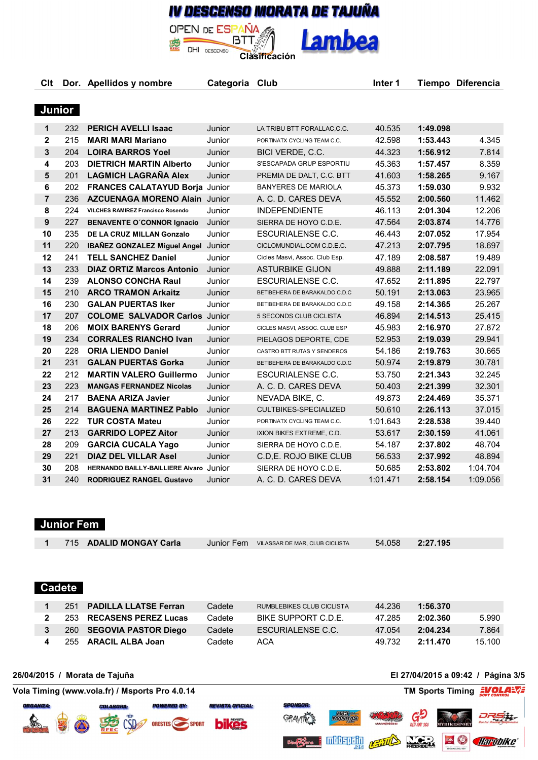## IV DESCENSO MORATA DE TAJUÑA **OPEN DE ESPAÑA**

**Lambea** 

**BTT** DESCENSO **Clasificación** 

**Clt Dor. Apellidos y nombre Categoria Club Inter 1 Tiempo Diferencia**

DHI

#### **Junior**

| 1  | 232 | <b>PERICH AVELLI Isaac</b>                 | Junior | LA TRIBU BTT FORALLAC, C.C.    | 40.535   | 1:49.098 |          |
|----|-----|--------------------------------------------|--------|--------------------------------|----------|----------|----------|
| 2  | 215 | <b>MARI MARI Mariano</b>                   | Junior | PORTINATX CYCLING TEAM C.C.    | 42.598   | 1:53.443 | 4.345    |
| 3  | 204 | <b>LOIRA BARROS Yoel</b>                   | Junior | BICI VERDE, C.C.               | 44.323   | 1:56.912 | 7.814    |
| 4  | 203 | <b>DIETRICH MARTIN Alberto</b>             | Junior | S'ESCAPADA GRUP ESPORTIU       | 45.363   | 1:57.457 | 8.359    |
| 5  | 201 | <b>LAGMICH LAGRAÑA Alex</b>                | Junior | PREMIA DE DALT, C.C. BTT       | 41.603   | 1:58.265 | 9.167    |
| 6  | 202 | <b>FRANCES CALATAYUD Borja Junior</b>      |        | <b>BANYERES DE MARIOLA</b>     | 45.373   | 1:59.030 | 9.932    |
| 7  | 236 | <b>AZCUENAGA MORENO Alain Junior</b>       |        | A. C. D. CARES DEVA            | 45.552   | 2:00.560 | 11.462   |
| 8  | 224 | <b>VILCHES RAMIREZ Francisco Rosendo</b>   | Junior | <b>INDEPENDIENTE</b>           | 46.113   | 2:01.304 | 12.206   |
| 9  | 227 | <b>BENAVENTE O'CONNOR Ignacio</b>          | Junior | SIERRA DE HOYO C.D.E.          | 47.564   | 2:03.874 | 14.776   |
| 10 | 235 | DE LA CRUZ MILLAN Gonzalo                  | Junior | ESCURIALENSE C.C.              | 46.443   | 2:07.052 | 17.954   |
| 11 | 220 | <b>IBAÑEZ GONZALEZ Miguel Angel Junior</b> |        | CICLOMUNDIAL.COM C.D.E.C.      | 47.213   | 2:07.795 | 18.697   |
| 12 | 241 | <b>TELL SANCHEZ Daniel</b>                 | Junior | Cicles Masvi, Assoc. Club Esp. | 47.189   | 2:08.587 | 19.489   |
| 13 | 233 | <b>DIAZ ORTIZ Marcos Antonio</b>           | Junior | <b>ASTURBIKE GIJON</b>         | 49.888   | 2:11.189 | 22.091   |
| 14 | 239 | <b>ALONSO CONCHA Raul</b>                  | Junior | ESCURIALENSE C.C.              | 47.652   | 2:11.895 | 22.797   |
| 15 | 210 | <b>ARCO TRAMON Arkaitz</b>                 | Junior | BETIBEHERA DE BARAKALDO C.D.C  | 50.191   | 2:13.063 | 23.965   |
| 16 | 230 | <b>GALAN PUERTAS Iker</b>                  | Junior | BETIBEHERA DE BARAKALDO C.D.C  | 49.158   | 2:14.365 | 25.267   |
| 17 | 207 | <b>COLOME SALVADOR Carlos</b>              | Junior | 5 SECONDS CLUB CICLISTA        | 46.894   | 2:14.513 | 25.415   |
| 18 | 206 | <b>MOIX BARENYS Gerard</b>                 | Junior | CICLES MASVI, ASSOC. CLUB ESP  | 45.983   | 2:16.970 | 27.872   |
| 19 | 234 | <b>CORRALES RIANCHO Ivan</b>               | Junior | PIELAGOS DEPORTE, CDE          | 52.953   | 2:19.039 | 29.941   |
| 20 | 228 | <b>ORIA LIENDO Daniel</b>                  | Junior | CASTRO BTT RUTAS Y SENDEROS    | 54.186   | 2:19.763 | 30.665   |
| 21 | 231 | <b>GALAN PUERTAS Gorka</b>                 | Junior | BETIBEHERA DE BARAKALDO C.D.C  | 50.974   | 2:19.879 | 30.781   |
| 22 | 212 | <b>MARTIN VALERO Guillermo</b>             | Junior | ESCURIALENSE C.C.              | 53.750   | 2:21.343 | 32.245   |
| 23 | 223 | <b>MANGAS FERNANDEZ Nicolas</b>            | Junior | A. C. D. CARES DEVA            | 50.403   | 2:21.399 | 32.301   |
| 24 | 217 | <b>BAENA ARIZA Javier</b>                  | Junior | NEVADA BIKE, C.                | 49.873   | 2:24.469 | 35.371   |
| 25 | 214 | <b>BAGUENA MARTINEZ Pablo</b>              | Junior | CULTBIKES-SPECIALIZED          | 50.610   | 2:26.113 | 37.015   |
| 26 | 222 | <b>TUR COSTA Mateu</b>                     | Junior | PORTINATX CYCLING TEAM C.C.    | 1:01.643 | 2:28.538 | 39.440   |
| 27 | 213 | <b>GARRIDO LOPEZ Aitor</b>                 | Junior | IXION BIKES EXTREME, C.D.      | 53.617   | 2:30.159 | 41.061   |
| 28 | 209 | <b>GARCIA CUCALA Yago</b>                  | Junior | SIERRA DE HOYO C.D.E.          | 54.187   | 2:37.802 | 48.704   |
| 29 | 221 | <b>DIAZ DEL VILLAR Asel</b>                | Junior | C.D.E. ROJO BIKE CLUB          | 56.533   | 2:37.992 | 48.894   |
| 30 | 208 | HERNANDO BAILLY-BAILLIERE Alvaro           | Junior | SIERRA DE HOYO C.D.E.          | 50.685   | 2:53.802 | 1:04.704 |
| 31 | 240 | <b>RODRIGUEZ RANGEL Gustavo</b>            | Junior | A. C. D. CARES DEVA            | 1:01.471 | 2:58.154 | 1:09.056 |

### **Junior Fem**

|                             | 715 ADALID MONGAY Carla | Junior Fem VILASSAR DE MAR, CLUB CICLISTA | 54.058 | 2:27.195 |
|-----------------------------|-------------------------|-------------------------------------------|--------|----------|
|                             |                         |                                           |        |          |
|                             |                         |                                           |        |          |
| $\sim$ $\sim$ $\sim$ $\sim$ |                         |                                           |        |          |

#### **Cadete**

| 251 PADILLA LLATSE Ferran  | Cadete | RUMBLEBIKES CLUB CICLISTA | 44.236 | 1:56.370 |        |
|----------------------------|--------|---------------------------|--------|----------|--------|
| 2 253 RECASENS PEREZ Lucas | Cadete | BIKE SUPPORT C.D.E.       | 47.285 | 2:02.360 | 5.990  |
| 260 SEGOVIA PASTOR Diego   | Cadete | <b>FSCURIAL ENSE C.C.</b> | 47.054 | 2:04.234 | 7.864  |
| 255 ARACIL ALBA Joan       | Cadete | ACA                       | 49.732 | 2:11.470 | 15.100 |

**GRAVIN** 

**BICI**<br>MANITAS

**mittering** 

**26/04/2015 / Morata de Tajuña El 27/04/2015 a 09:42 / Página 3/5**

Ģ

**NO.** 

REILLES

**Volago Charobike** 

DRS H

**Vola Timing (www.vola.fr) / Msports Pro 4.0.14 TM Sports Timing EVOLARTING** 





**REVISTA OFICIAL:**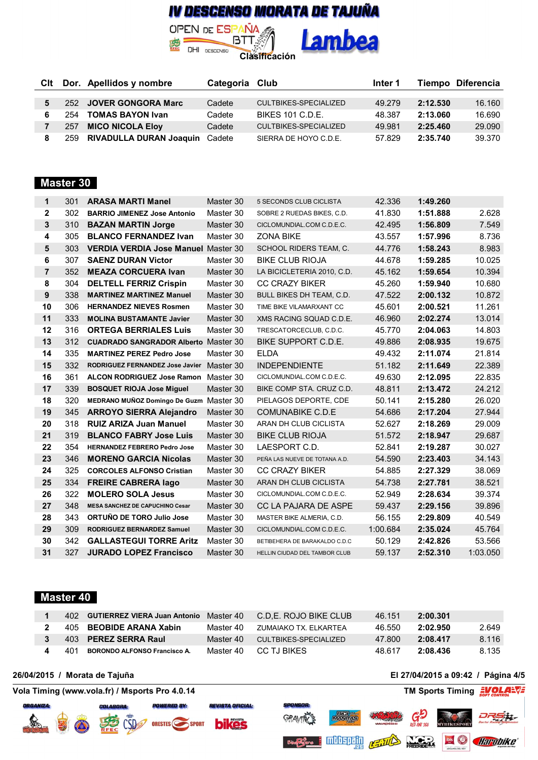## IV DESCENSO MORATA DE TAJUÑA **OPEN DE ESPAÑA**

**Lambea** 

DHI DESCENSO **Clasificación** 

[BTT.黍

题

|     | Cit Dor. Apellidos y nombre    | Categoria Club |                       | Inter 1 |          | Tiempo Diferencia |
|-----|--------------------------------|----------------|-----------------------|---------|----------|-------------------|
|     |                                |                |                       |         |          |                   |
|     | 252 JOVER GONGORA Marc         | Cadete         | CULTBIKES-SPECIALIZED | 49.279  | 2:12.530 | 16.160            |
| 254 | <b>TOMAS BAYON Ivan</b>        | Cadete         | BIKES 101 C.D.F.      | 48.387  | 2:13.060 | 16.690            |
| 257 | <b>MICO NICOLA Eloy</b>        | Cadete         | CULTBIKES-SPECIALIZED | 49.981  | 2:25.460 | 29.090            |
| 259 | RIVADULLA DURAN Joaquin Cadete |                | SIERRA DE HOYO C.D.E. | 57.829  | 2:35.740 | 39.370            |

### **Master 30**

| 1              | 301 | <b>ARASA MARTI Manel</b>                    | Master 30 | 5 SECONDS CLUB CICLISTA       | 42.336   | 1:49.260 |          |
|----------------|-----|---------------------------------------------|-----------|-------------------------------|----------|----------|----------|
| 2              | 302 | <b>BARRIO JIMENEZ Jose Antonio</b>          | Master 30 | SOBRE 2 RUEDAS BIKES, C.D.    | 41.830   | 1:51.888 | 2.628    |
| 3              | 310 | <b>BAZAN MARTIN Jorge</b>                   | Master 30 | CICLOMUNDIAL.COM C.D.E.C.     | 42.495   | 1:56.809 | 7.549    |
| 4              | 305 | <b>BLANCO FERNANDEZ Ivan</b>                | Master 30 | <b>ZONA BIKE</b>              | 43.557   | 1:57.996 | 8.736    |
| 5              | 303 | <b>VERDIA VERDIA Jose Manuel Master 30</b>  |           | SCHOOL RIDERS TEAM, C.        | 44.776   | 1:58.243 | 8.983    |
| 6              | 307 | <b>SAENZ DURAN Victor</b>                   | Master 30 | <b>BIKE CLUB RIOJA</b>        | 44.678   | 1:59.285 | 10.025   |
| $\overline{7}$ | 352 | <b>MEAZA CORCUERA Ivan</b>                  | Master 30 | LA BICICLETERIA 2010, C.D.    | 45.162   | 1:59.654 | 10.394   |
| 8              | 304 | <b>DELTELL FERRIZ Crispin</b>               | Master 30 | <b>CC CRAZY BIKER</b>         | 45.260   | 1:59.940 | 10.680   |
| 9              | 338 | <b>MARTINEZ MARTINEZ Manuel</b>             | Master 30 | BULL BIKES DH TEAM, C.D.      | 47.522   | 2:00.132 | 10.872   |
| 10             | 306 | <b>HERNANDEZ NIEVES Rosmen</b>              | Master 30 | TIME BIKE VILAMARXANT CC      | 45.601   | 2:00.521 | 11.261   |
| 11             | 333 | <b>MOLINA BUSTAMANTE Javier</b>             | Master 30 | XMS RACING SQUAD C.D.E.       | 46.960   | 2:02.274 | 13.014   |
| 12             | 316 | <b>ORTEGA BERRIALES Luis</b>                | Master 30 | TRESCATORCECLUB, C.D.C.       | 45.770   | 2:04.063 | 14.803   |
| 13             | 312 | <b>CUADRADO SANGRADOR Alberto Master 30</b> |           | BIKE SUPPORT C.D.E.           | 49.886   | 2:08.935 | 19.675   |
| 14             | 335 | <b>MARTINEZ PEREZ Pedro Jose</b>            | Master 30 | <b>ELDA</b>                   | 49.432   | 2:11.074 | 21.814   |
| 15             | 332 | RODRIGUEZ FERNANDEZ Jose Javier             | Master 30 | <b>INDEPENDIENTE</b>          | 51.182   | 2:11.649 | 22.389   |
| 16             | 361 | <b>ALCON RODRIGUEZ Jose Ramon</b>           | Master 30 | CICLOMUNDIAL.COM C.D.E.C.     | 49.630   | 2:12.095 | 22.835   |
| 17             | 339 | <b>BOSQUET RIOJA Jose Miguel</b>            | Master 30 | BIKE COMP STA. CRUZ C.D.      | 48.811   | 2:13.472 | 24.212   |
| 18             | 320 | <b>MEDRANO MUÑOZ Domingo De Guzm</b>        | Master 30 | PIELAGOS DEPORTE, CDE         | 50.141   | 2:15.280 | 26.020   |
| 19             | 345 | <b>ARROYO SIERRA Alejandro</b>              | Master 30 | <b>COMUNABIKE C.D.E</b>       | 54.686   | 2:17.204 | 27.944   |
| 20             | 318 | <b>RUIZ ARIZA Juan Manuel</b>               | Master 30 | ARAN DH CLUB CICLISTA         | 52.627   | 2:18.269 | 29.009   |
| 21             | 319 | <b>BLANCO FABRY Jose Luis</b>               | Master 30 | <b>BIKE CLUB RIOJA</b>        | 51.572   | 2:18.947 | 29.687   |
| 22             | 354 | <b>HERNANDEZ FEBRERO Pedro Jose</b>         | Master 30 | LAESPORT C.D.                 | 52.841   | 2:19.287 | 30.027   |
| 23             | 346 | <b>MORENO GARCIA Nicolas</b>                | Master 30 | PEÑA LAS NUEVE DE TOTANA A.D. | 54.590   | 2:23.403 | 34.143   |
| 24             | 325 | <b>CORCOLES ALFONSO Cristian</b>            | Master 30 | <b>CC CRAZY BIKER</b>         | 54.885   | 2:27.329 | 38.069   |
| 25             | 334 | <b>FREIRE CABRERA lago</b>                  | Master 30 | ARAN DH CLUB CICLISTA         | 54.738   | 2:27.781 | 38.521   |
| 26             | 322 | <b>MOLERO SOLA Jesus</b>                    | Master 30 | CICLOMUNDIAL.COM C.D.E.C.     | 52.949   | 2:28.634 | 39.374   |
| 27             | 348 | <b>MESA SANCHEZ DE CAPUCHINO Cesar</b>      | Master 30 | CC LA PAJARA DE ASPE          | 59.437   | 2:29.156 | 39.896   |
| 28             | 343 | ORTUÑO DE TORO Julio Jose                   | Master 30 | MASTER BIKE ALMERIA, C.D.     | 56.155   | 2:29.809 | 40.549   |
| 29             | 309 | <b>RODRIGUEZ BERNARDEZ Samuel</b>           | Master 30 | CICLOMUNDIAL.COM C.D.E.C.     | 1:00.684 | 2:35.024 | 45.764   |
| 30             | 342 | <b>GALLASTEGUI TORRE Aritz</b>              | Master 30 | BETIBEHERA DE BARAKALDO C.D.C | 50.129   | 2:42.826 | 53.566   |
| 31             | 327 | <b>JURADO LOPEZ Francisco</b>               | Master 30 | HELLIN CIUDAD DEL TAMBOR CLUB | 59.137   | 2:52.310 | 1:03.050 |

#### **Master 40**

|     | 402 GUTIERREZ VIERA Juan Antonio Master 40 |           | C.D.E. ROJO BIKE CLUB | 46.151 | 2:00.301 |       |
|-----|--------------------------------------------|-----------|-----------------------|--------|----------|-------|
|     | 405 BEOBIDE ARANA Xabin                    | Master 40 | ZUMAIAKO TX. ELKARTEA | 46.550 | 2:02.950 | 2.649 |
|     | 403 PEREZ SERRA Raul                       | Master 40 | CULTBIKES-SPECIALIZED | 47.800 | 2:08.417 | 8.116 |
| 401 | <b>BORONDO ALFONSO Francisco A.</b>        | Master 40 | CC TJ BIKES           | 48 617 | 2:08.436 | 8.135 |

**Blue** 

#### **26/04/2015 / Morata de Tajuña El 27/04/2015 a 09:42 / Página 4/5**

**Vola Timing (www.vola.fr) / Msports Pro 4.0.14 TM Sports Timing EVOLANT** 



 $\overline{\text{C}}$ 



**REVISTA OFICIAL:** 

**POWERED BY**